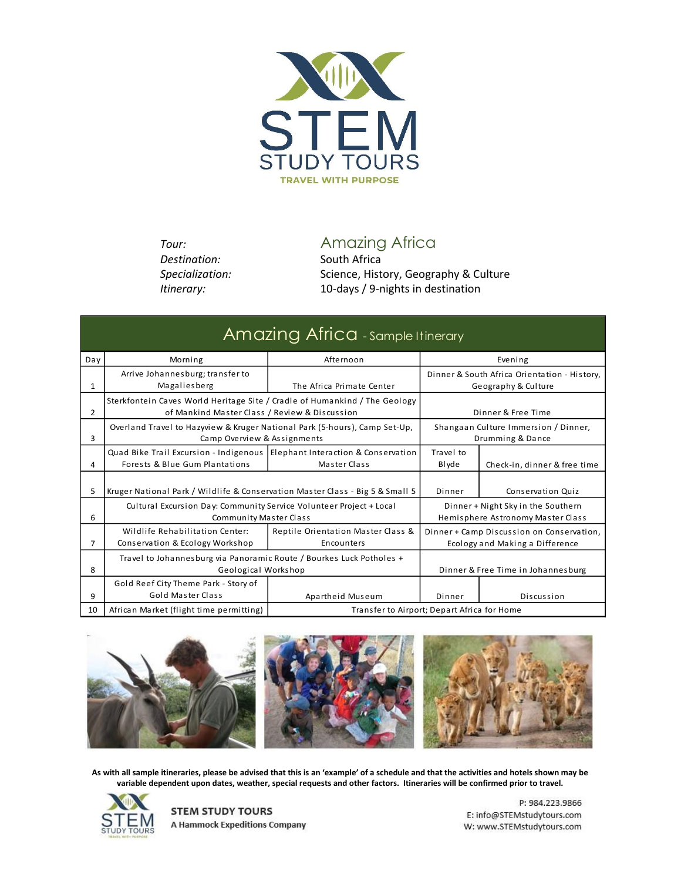

**Destination:** South Africa

*Tour:* Amazing Africa

Specialization: Science, History, Geography & Culture *Itinerary:* 10-days / 9-nights in destination

| Amazing Africa - sample Itinerary |                                                                                                                             |                                                  |                                                                              |                              |  |
|-----------------------------------|-----------------------------------------------------------------------------------------------------------------------------|--------------------------------------------------|------------------------------------------------------------------------------|------------------------------|--|
| Day                               | Morning                                                                                                                     | Afternoon                                        | Evening                                                                      |                              |  |
| 1                                 | Arrive Johannesburg; transfer to<br>Magaliesberg                                                                            | The Africa Primate Center                        | Dinner & South Africa Orientation - History,<br>Geography & Culture          |                              |  |
| $\overline{2}$                    | Sterkfontein Caves World Heritage Site / Cradle of Humankind / The Geology<br>of Mankind Master Class / Review & Discussion |                                                  | Dinner & Free Time                                                           |                              |  |
| 3                                 | Overland Travel to Hazyview & Kruger National Park (5-hours), Camp Set-Up,<br>Camp Overview & Assignments                   |                                                  | Shangaan Culture Immersion / Dinner,<br>Drumming & Dance                     |                              |  |
| 4                                 | Quad Bike Trail Excursion - Indigenous   Elephant Interaction & Conservation<br>Forests & Blue Gum Plantations              | Master Class                                     | Travel to<br>Blyde                                                           | Check-in, dinner & free time |  |
| 5                                 | Kruger National Park / Wildlife & Conservation Master Class - Big 5 & Small 5                                               |                                                  | Dinner                                                                       | Conservation Quiz            |  |
| 6                                 | Cultural Excursion Day: Community Service Volunteer Project + Local<br><b>Community Master Class</b>                        |                                                  | Dinner + Night Sky in the Southern<br>Hemisphere Astronomy Master Class      |                              |  |
| 7                                 | Wildlife Rehabilitation Center:<br>Conservation & Ecology Workshop                                                          | Reptile Orientation Master Class &<br>Encounters | Dinner + Camp Discussion on Conservation,<br>Ecology and Making a Difference |                              |  |
| 8                                 | Travel to Johannesburg via Panoramic Route / Bourkes Luck Potholes +<br>Geological Workshop                                 |                                                  | Dinner & Free Time in Johannesburg                                           |                              |  |
| 9                                 | Gold Reef City Theme Park - Story of<br>Gold Master Class                                                                   | Apartheid Museum                                 | Dinner                                                                       | Discussion                   |  |
| 10                                | African Market (flight time permitting)                                                                                     | Transfer to Airport; Depart Africa for Home      |                                                                              |                              |  |



**As with all sample itineraries, please be advised that this is an 'example' of a schedule and that the activities and hotels shown may be variable dependent upon dates, weather, special requests and other factors. Itineraries will be confirmed prior to travel.**



**STEM STUDY TOURS A Hammock Expeditions Company**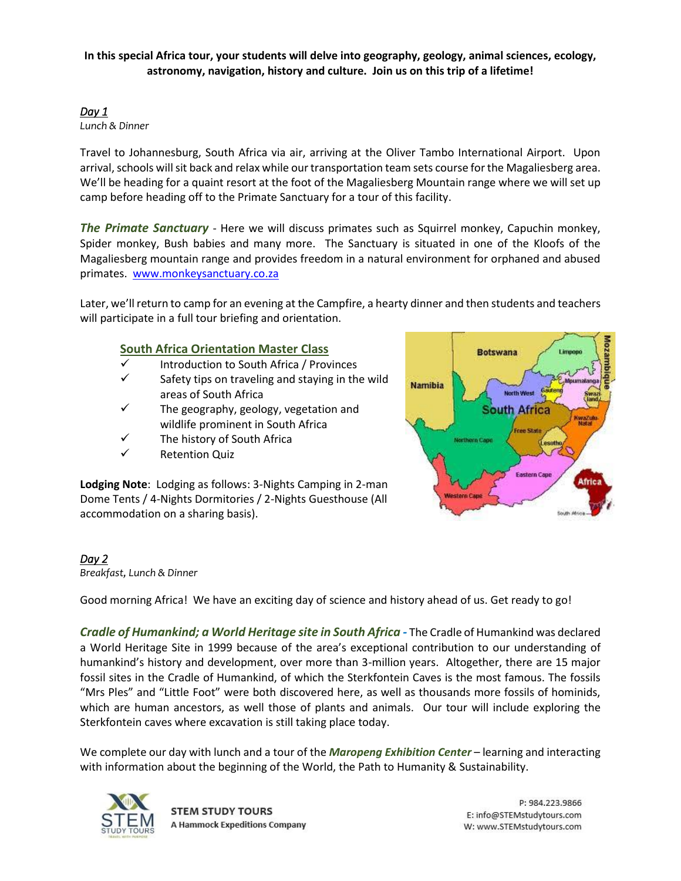## **In this special Africa tour, your students will delve into geography, geology, animal sciences, ecology, astronomy, navigation, history and culture. Join us on this trip of a lifetime!**

# *Day 1*

*Lunch & Dinner*

Travel to Johannesburg, South Africa via air, arriving at the Oliver Tambo International Airport. Upon arrival, schools will sit back and relax while our transportation team sets course for the Magaliesberg area. We'll be heading for a quaint resort at the foot of the Magaliesberg Mountain range where we will set up camp before heading off to the Primate Sanctuary for a tour of this facility.

*The Primate Sanctuary* - Here we will discuss primates such as Squirrel monkey, Capuchin monkey, Spider monkey, Bush babies and many more. The Sanctuary is situated in one of the Kloofs of the Magaliesberg mountain range and provides freedom in a natural environment for orphaned and abused primates. [www.monkeysanctuary.co.za](http://www.monkeysanctuary.co.za/)

Later, we'll return to camp for an evening at the Campfire, a hearty dinner and then students and teachers will participate in a full tour briefing and orientation.

# **South Africa Orientation Master Class**

- ✓ Introduction to South Africa / Provinces
- $\checkmark$  Safety tips on traveling and staying in the wild areas of South Africa
- $\checkmark$  The geography, geology, vegetation and wildlife prominent in South Africa
- ✓ The history of South Africa
- ✓ Retention Quiz

**Botswana Namibia** North West **South Africa Free State Northern Cap Eastern Capr Africa** 

**Lodging Note**: Lodging as follows: 3-Nights Camping in 2-man Dome Tents / 4-Nights Dormitories / 2-Nights Guesthouse (All accommodation on a sharing basis).

# *Day 2*

*Breakfast, Lunch & Dinner*

Good morning Africa! We have an exciting day of science and history ahead of us. Get ready to go!

*Cradle of Humankind; a World Heritage site in South Africa -* The Cradle of Humankind was declared a World Heritage Site in 1999 because of the area's exceptional contribution to our understanding of humankind's history and development, over more than 3-million years. Altogether, there are 15 major fossil sites in the Cradle of Humankind, of which the Sterkfontein Caves is the most famous. The fossils "Mrs Ples" and "Little Foot" were both discovered here, as well as thousands more fossils of hominids, which are human ancestors, as well those of plants and animals. Our tour will include exploring the Sterkfontein caves where excavation is still taking place today.

We complete our day with lunch and a tour of the *Maropeng Exhibition Center* – learning and interacting with information about the beginning of the World, the Path to Humanity & Sustainability.



**STEM STUDY TOURS A Hammock Expeditions Company**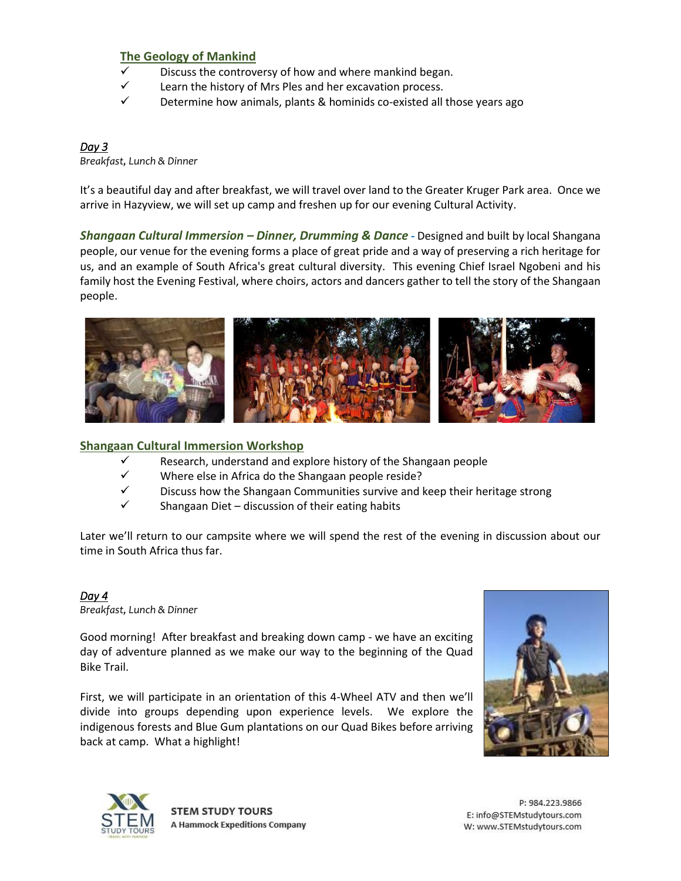## **The Geology of Mankind**

- Discuss the controversy of how and where mankind began.
- $\checkmark$  Learn the history of Mrs Ples and her excavation process.
- $\checkmark$  Determine how animals, plants & hominids co-existed all those years ago

#### *Day 3*

*Breakfast, Lunch & Dinner*

It's a beautiful day and after breakfast, we will travel over land to the Greater Kruger Park area. Once we arrive in Hazyview, we will set up camp and freshen up for our evening Cultural Activity.

*Shangaan Cultural Immersion – Dinner, Drumming & Dance -* Designed and built by local Shangana people, our venue for the evening forms a place of great pride and a way of preserving a rich heritage for us, and an example of South Africa's great cultural diversity. This evening Chief Israel Ngobeni and his family host the Evening Festival, where choirs, actors and dancers gather to tell the story of the Shangaan people.



## **Shangaan Cultural Immersion Workshop**

- $\checkmark$  Research, understand and explore history of the Shangaan people
- ✓ Where else in Africa do the Shangaan people reside?
- $\checkmark$  Discuss how the Shangaan Communities survive and keep their heritage strong
- $\checkmark$  Shangaan Diet discussion of their eating habits

Later we'll return to our campsite where we will spend the rest of the evening in discussion about our time in South Africa thus far.

## *Day 4*

*Breakfast, Lunch & Dinner*

Good morning! After breakfast and breaking down camp - we have an exciting day of adventure planned as we make our way to the beginning of the Quad Bike Trail.

First, we will participate in an orientation of this 4-Wheel ATV and then we'll divide into groups depending upon experience levels. We explore the indigenous forests and Blue Gum plantations on our Quad Bikes before arriving back at camp. What a highlight!





**STEM STUDY TOURS A Hammock Expeditions Company**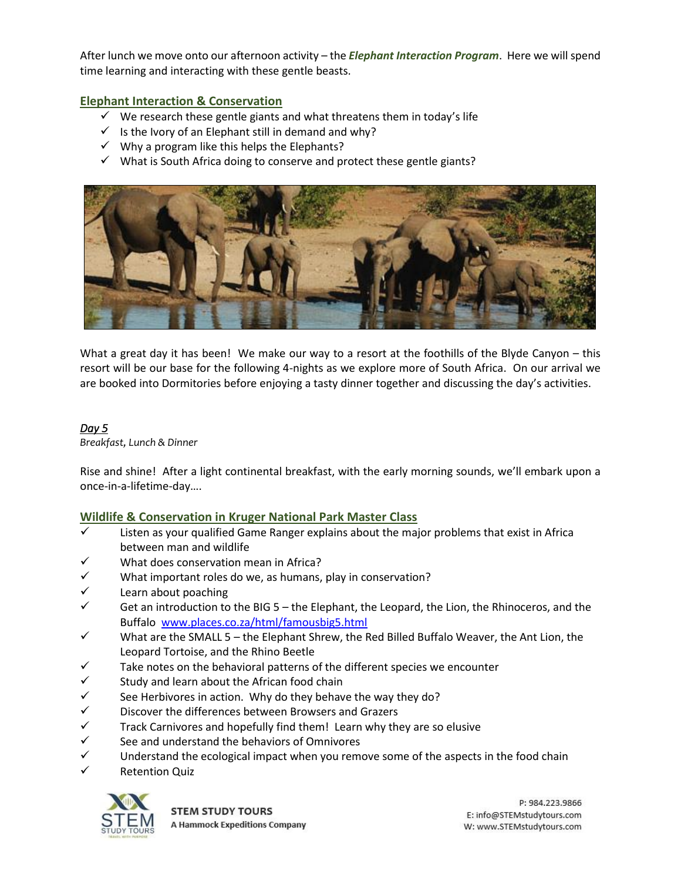After lunch we move onto our afternoon activity – the *Elephant Interaction Program*. Here we will spend time learning and interacting with these gentle beasts.

## **Elephant Interaction & Conservation**

- $\checkmark$  We research these gentle giants and what threatens them in today's life
- $\checkmark$  Is the Ivory of an Elephant still in demand and why?
- $\checkmark$  Why a program like this helps the Elephants?
- $\checkmark$  What is South Africa doing to conserve and protect these gentle giants?



What a great day it has been! We make our way to a resort at the foothills of the Blyde Canyon – this resort will be our base for the following 4-nights as we explore more of South Africa. On our arrival we are booked into Dormitories before enjoying a tasty dinner together and discussing the day's activities.

## *Day 5*

*Breakfast, Lunch & Dinner*

Rise and shine! After a light continental breakfast, with the early morning sounds, we'll embark upon a once-in-a-lifetime-day….

## **Wildlife & Conservation in Kruger National Park Master Class**

- $\checkmark$  Listen as your qualified Game Ranger explains about the major problems that exist in Africa between man and wildlife
- What does conservation mean in Africa?
- $\checkmark$  What important roles do we, as humans, play in conservation?
- $\checkmark$  Learn about poaching
- $\checkmark$  Get an introduction to the BIG 5 the Elephant, the Leopard, the Lion, the Rhinoceros, and the Buffalo [www.places.co.za/html/famousbig5.html](http://www.places.co.za/html/famousbig5.html)
- $\checkmark$  What are the SMALL 5 the Elephant Shrew, the Red Billed Buffalo Weaver, the Ant Lion, the Leopard Tortoise, and the Rhino Beetle
- $\checkmark$  Take notes on the behavioral patterns of the different species we encounter
- $\checkmark$  Study and learn about the African food chain
- $\checkmark$  See Herbivores in action. Why do they behave the way they do?
- ✓ Discover the differences between Browsers and Grazers
- $\checkmark$  Track Carnivores and hopefully find them! Learn why they are so elusive
- $\checkmark$  See and understand the behaviors of Omnivores
- $\checkmark$  Understand the ecological impact when you remove some of the aspects in the food chain
- ✓ Retention Quiz

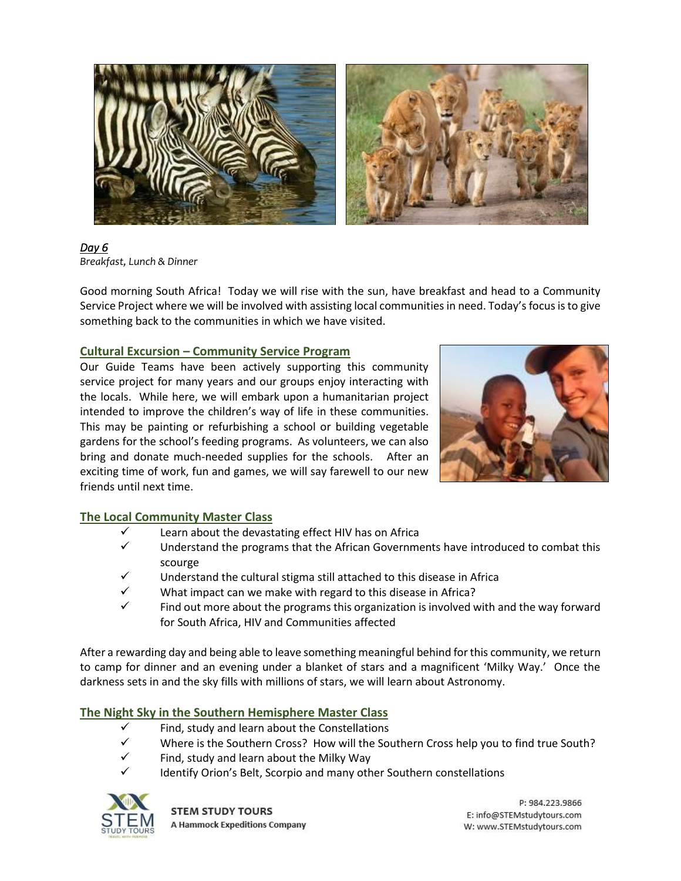

*Day 6 Breakfast, Lunch & Dinner*

Good morning South Africa! Today we will rise with the sun, have breakfast and head to a Community Service Project where we will be involved with assisting local communities in need. Today's focus is to give something back to the communities in which we have visited.

# **Cultural Excursion – Community Service Program**

Our Guide Teams have been actively supporting this community service project for many years and our groups enjoy interacting with the locals. While here, we will embark upon a humanitarian project intended to improve the children's way of life in these communities. This may be painting or refurbishing a school or building vegetable gardens for the school's feeding programs. As volunteers, we can also bring and donate much-needed supplies for the schools. After an exciting time of work, fun and games, we will say farewell to our new friends until next time.



# **The Local Community Master Class**

- Learn about the devastating effect HIV has on Africa
- $\checkmark$  Understand the programs that the African Governments have introduced to combat this scourge
- $\checkmark$  Understand the cultural stigma still attached to this disease in Africa
- $\checkmark$  What impact can we make with regard to this disease in Africa?
- $\checkmark$  Find out more about the programs this organization is involved with and the way forward for South Africa, HIV and Communities affected

After a rewarding day and being able to leave something meaningful behind for this community, we return to camp for dinner and an evening under a blanket of stars and a magnificent 'Milky Way.' Once the darkness sets in and the sky fills with millions of stars, we will learn about Astronomy.

# **The Night Sky in the Southern Hemisphere Master Class**

- $\checkmark$  Find, study and learn about the Constellations
- $\checkmark$  Where is the Southern Cross? How will the Southern Cross help you to find true South?
- Find, study and learn about the Milky Way
- Identify Orion's Belt, Scorpio and many other Southern constellations

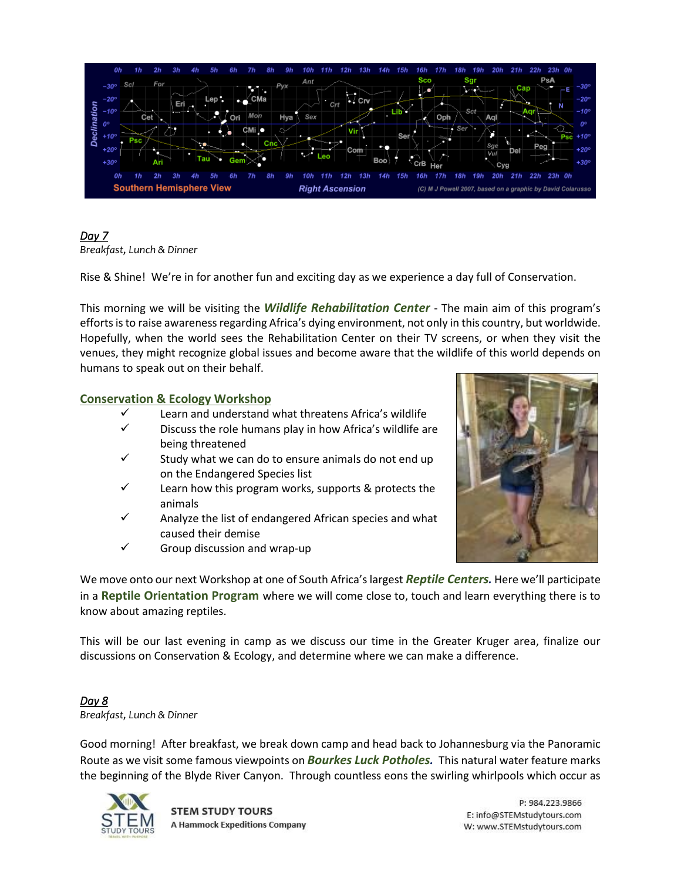

# *Day 7*

*Breakfast, Lunch & Dinner*

Rise & Shine! We're in for another fun and exciting day as we experience a day full of Conservation.

This morning we will be visiting the *Wildlife Rehabilitation Center* - The main aim of this program's efforts isto raise awareness regarding Africa's dying environment, not only in this country, but worldwide. Hopefully, when the world sees the Rehabilitation Center on their TV screens, or when they visit the venues, they might recognize global issues and become aware that the wildlife of this world depends on humans to speak out on their behalf.

## **Conservation & Ecology Workshop**

- $\checkmark$  Learn and understand what threatens Africa's wildlife
- $\checkmark$  Discuss the role humans play in how Africa's wildlife are being threatened
- $\checkmark$  Study what we can do to ensure animals do not end up on the Endangered Species list
- $\checkmark$  Learn how this program works, supports & protects the animals
- $\checkmark$  Analyze the list of endangered African species and what caused their demise
- $\checkmark$  Group discussion and wrap-up



We move onto our next Workshop at one of South Africa's largest *Reptile Centers.* Here we'll participate in a **Reptile Orientation Program** where we will come close to, touch and learn everything there is to know about amazing reptiles.

This will be our last evening in camp as we discuss our time in the Greater Kruger area, finalize our discussions on Conservation & Ecology, and determine where we can make a difference.

### *Day 8 Breakfast, Lunch & Dinner*

Good morning! After breakfast, we break down camp and head back to Johannesburg via the Panoramic Route as we visit some famous viewpoints on *Bourkes Luck Potholes.* This natural water feature marks the beginning of the Blyde River Canyon. Through countless eons the swirling whirlpools which occur as



**STEM STUDY TOURS A Hammock Expeditions Company**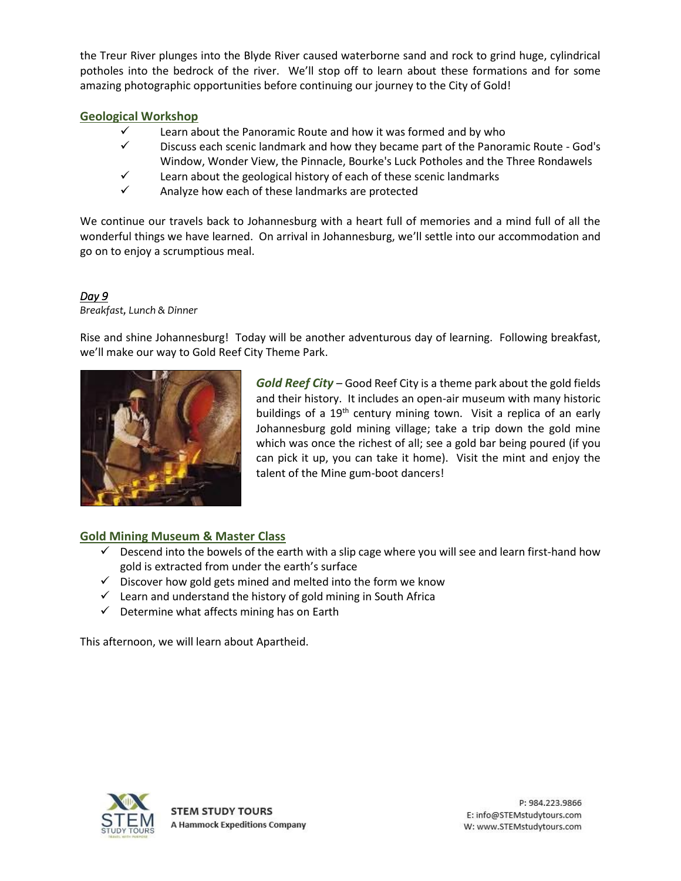the Treur River plunges into the Blyde River caused waterborne sand and rock to grind huge, cylindrical potholes into the bedrock of the river. We'll stop off to learn about these formations and for some amazing photographic opportunities before continuing our journey to the City of Gold!

## **Geological Workshop**

- $\checkmark$  Learn about the Panoramic Route and how it was formed and by who
- $\checkmark$  Discuss each scenic landmark and how they became part of the Panoramic Route God's Window, Wonder View, the Pinnacle, Bourke's Luck Potholes and the Three Rondawels
- $\checkmark$  Learn about the geological history of each of these scenic landmarks
- ✓ Analyze how each of these landmarks are protected

We continue our travels back to Johannesburg with a heart full of memories and a mind full of all the wonderful things we have learned. On arrival in Johannesburg, we'll settle into our accommodation and go on to enjoy a scrumptious meal.

## *Day 9*

*Breakfast, Lunch & Dinner*

Rise and shine Johannesburg! Today will be another adventurous day of learning. Following breakfast, we'll make our way to Gold Reef City Theme Park.



*Gold Reef City* – Good Reef City is a theme park about the gold fields and their history. It includes an open-air museum with many historic buildings of a  $19<sup>th</sup>$  century mining town. Visit a replica of an early Johannesburg gold mining village; take a trip down the gold mine which was once the richest of all; see a gold bar being poured (if you can pick it up, you can take it home). Visit the mint and enjoy the talent of the Mine gum-boot dancers!

# **Gold Mining Museum & Master Class**

- $\checkmark$  Descend into the bowels of the earth with a slip cage where you will see and learn first-hand how gold is extracted from under the earth's surface
- $\checkmark$  Discover how gold gets mined and melted into the form we know
- $\checkmark$  Learn and understand the history of gold mining in South Africa
- $\checkmark$  Determine what affects mining has on Earth

This afternoon, we will learn about Apartheid.

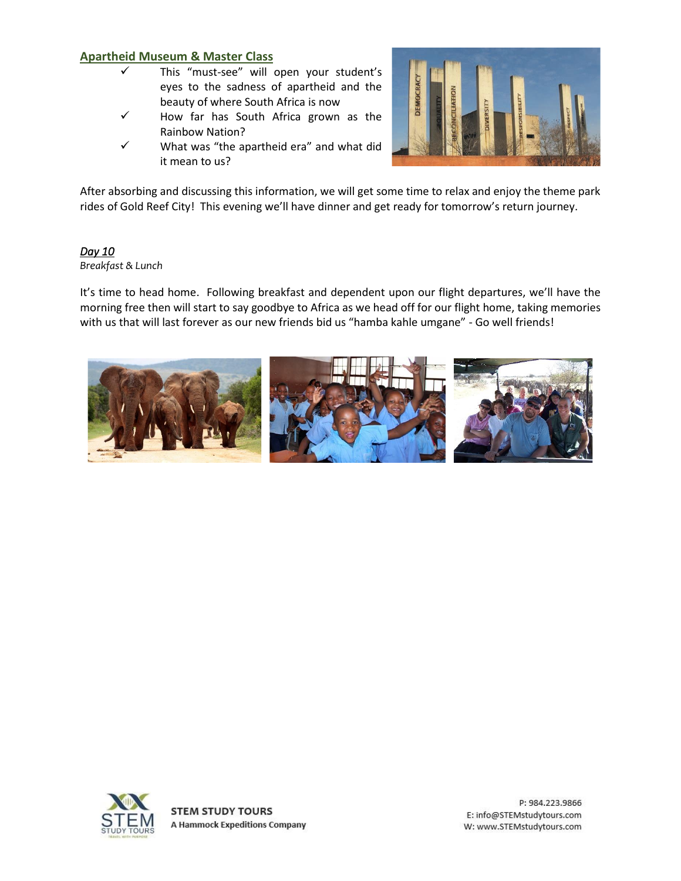## **Apartheid Museum & Master Class**

- ✓ This "must-see" will open your student's eyes to the sadness of apartheid and the beauty of where South Africa is now
- ✓ How far has South Africa grown as the Rainbow Nation?
- $\checkmark$  What was "the apartheid era" and what did it mean to us?



After absorbing and discussing this information, we will get some time to relax and enjoy the theme park rides of Gold Reef City! This evening we'll have dinner and get ready for tomorrow's return journey.

## *Day 10*

#### *Breakfast & Lunch*

It's time to head home. Following breakfast and dependent upon our flight departures, we'll have the morning free then will start to say goodbye to Africa as we head off for our flight home, taking memories with us that will last forever as our new friends bid us "hamba kahle umgane" - Go well friends!



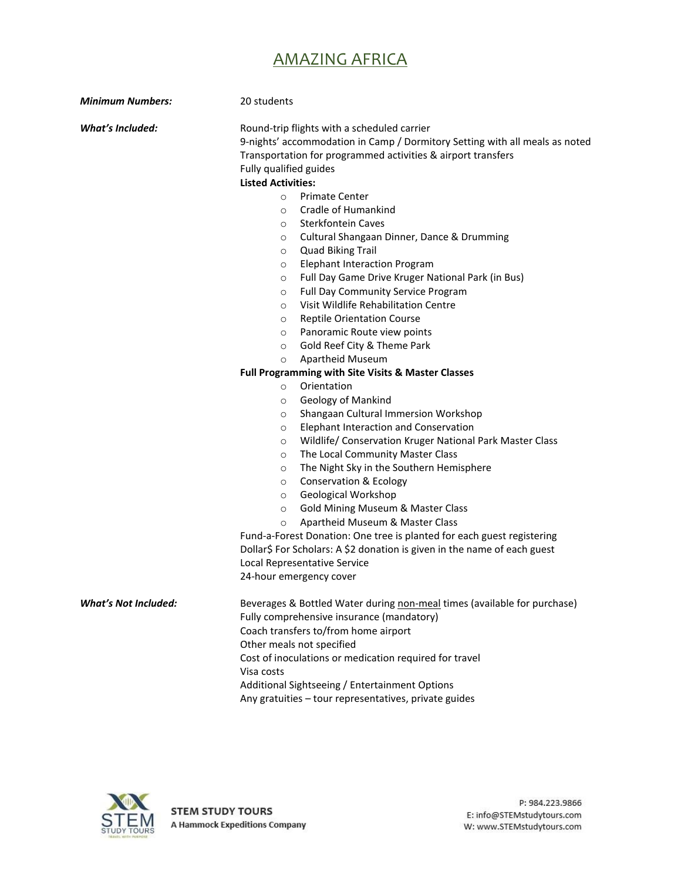# AMAZING AFRICA

| <b>Minimum Numbers:</b>     | 20 students                                                                                                                                                                                                                                                                                                                                                                                                                                                                                                                                                                                                                                                                                                                                                                                                         |  |  |  |
|-----------------------------|---------------------------------------------------------------------------------------------------------------------------------------------------------------------------------------------------------------------------------------------------------------------------------------------------------------------------------------------------------------------------------------------------------------------------------------------------------------------------------------------------------------------------------------------------------------------------------------------------------------------------------------------------------------------------------------------------------------------------------------------------------------------------------------------------------------------|--|--|--|
| What's Included:            | Round-trip flights with a scheduled carrier<br>9-nights' accommodation in Camp / Dormitory Setting with all meals as noted<br>Transportation for programmed activities & airport transfers<br>Fully qualified guides<br><b>Listed Activities:</b><br><b>Primate Center</b><br>$\circ$<br>Cradle of Humankind<br>$\circ$<br><b>Sterkfontein Caves</b><br>O<br>Cultural Shangaan Dinner, Dance & Drumming<br>$\circ$<br><b>Quad Biking Trail</b><br>$\circ$<br><b>Elephant Interaction Program</b><br>$\circ$<br>Full Day Game Drive Kruger National Park (in Bus)<br>$\circ$<br>Full Day Community Service Program<br>$\circ$<br>Visit Wildlife Rehabilitation Centre<br>$\circ$<br><b>Reptile Orientation Course</b><br>$\circ$<br>Panoramic Route view points<br>$\circ$<br>Gold Reef City & Theme Park<br>$\circ$ |  |  |  |
|                             | Apartheid Museum<br>$\circ$                                                                                                                                                                                                                                                                                                                                                                                                                                                                                                                                                                                                                                                                                                                                                                                         |  |  |  |
|                             | Full Programming with Site Visits & Master Classes                                                                                                                                                                                                                                                                                                                                                                                                                                                                                                                                                                                                                                                                                                                                                                  |  |  |  |
|                             | Orientation<br>$\circ$<br>Geology of Mankind<br>$\circ$<br>Shangaan Cultural Immersion Workshop<br>$\circ$<br>Elephant Interaction and Conservation<br>$\circ$<br>Wildlife/ Conservation Kruger National Park Master Class<br>$\circ$<br>The Local Community Master Class<br>$\circ$<br>The Night Sky in the Southern Hemisphere<br>$\circ$<br><b>Conservation &amp; Ecology</b><br>$\circ$<br>Geological Workshop<br>$\circ$<br><b>Gold Mining Museum &amp; Master Class</b><br>$\circ$<br>Apartheid Museum & Master Class<br>$\circ$<br>Fund-a-Forest Donation: One tree is planted for each guest registering<br>Dollar\$ For Scholars: A \$2 donation is given in the name of each guest<br>Local Representative Service<br>24-hour emergency cover                                                             |  |  |  |
| <b>What's Not Included:</b> | Beverages & Bottled Water during non-meal times (available for purchase)<br>Fully comprehensive insurance (mandatory)<br>Coach transfers to/from home airport<br>Other meals not specified<br>Cost of inoculations or medication required for travel<br>Visa costs<br>Additional Sightseeing / Entertainment Options<br>Any gratuities - tour representatives, private guides                                                                                                                                                                                                                                                                                                                                                                                                                                       |  |  |  |

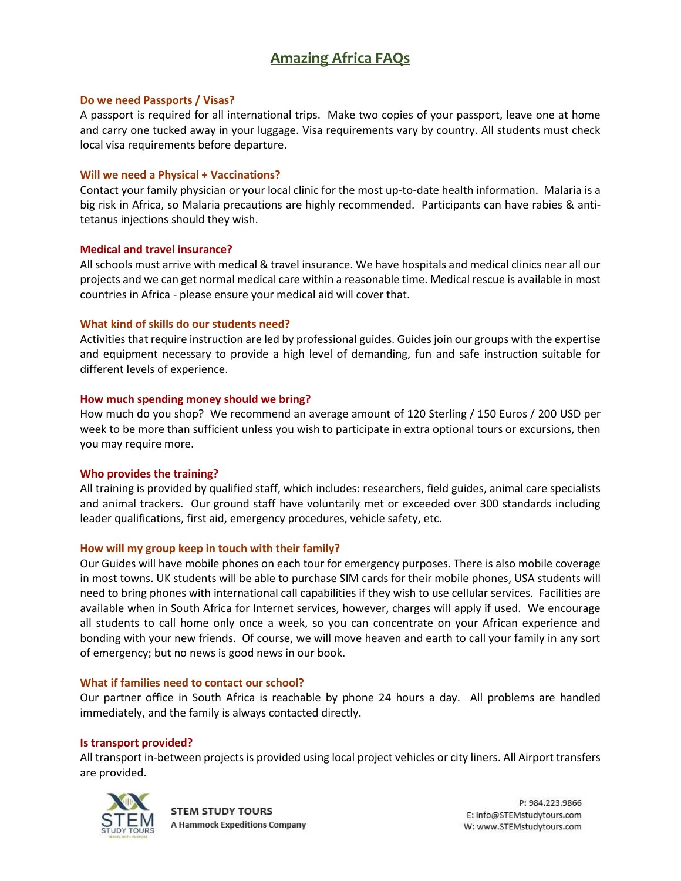# **Amazing Africa FAQs**

#### **Do we need Passports / Visas?**

A passport is required for all international trips. Make two copies of your passport, leave one at home and carry one tucked away in your luggage. Visa requirements vary by country. All students must check local visa requirements before departure.

#### **Will we need a Physical + Vaccinations?**

Contact your family physician or your local clinic for the most up-to-date health information. Malaria is a big risk in Africa, so Malaria precautions are highly recommended. Participants can have rabies & antitetanus injections should they wish.

#### **Medical and travel insurance?**

All schools must arrive with medical & travel insurance. We have hospitals and medical clinics near all our projects and we can get normal medical care within a reasonable time. Medical rescue is available in most countries in Africa - please ensure your medical aid will cover that.

#### **What kind of skills do our students need?**

Activities that require instruction are led by professional guides. Guides join our groups with the expertise and equipment necessary to provide a high level of demanding, fun and safe instruction suitable for different levels of experience.

#### **How much spending money should we bring?**

How much do you shop? We recommend an average amount of 120 Sterling / 150 Euros / 200 USD per week to be more than sufficient unless you wish to participate in extra optional tours or excursions, then you may require more.

#### **Who provides the training?**

All training is provided by qualified staff, which includes: researchers, field guides, animal care specialists and animal trackers. Our ground staff have voluntarily met or exceeded over 300 standards including leader qualifications, first aid, emergency procedures, vehicle safety, etc.

#### **How will my group keep in touch with their family?**

Our Guides will have mobile phones on each tour for emergency purposes. There is also mobile coverage in most towns. UK students will be able to purchase SIM cards for their mobile phones, USA students will need to bring phones with international call capabilities if they wish to use cellular services. Facilities are available when in South Africa for Internet services, however, charges will apply if used. We encourage all students to call home only once a week, so you can concentrate on your African experience and bonding with your new friends. Of course, we will move heaven and earth to call your family in any sort of emergency; but no news is good news in our book.

#### **What if families need to contact our school?**

Our partner office in South Africa is reachable by phone 24 hours a day. All problems are handled immediately, and the family is always contacted directly.

#### **Is transport provided?**

All transport in-between projects is provided using local project vehicles or city liners. All Airport transfers are provided.



**STEM STUDY TOURS A Hammock Expeditions Company**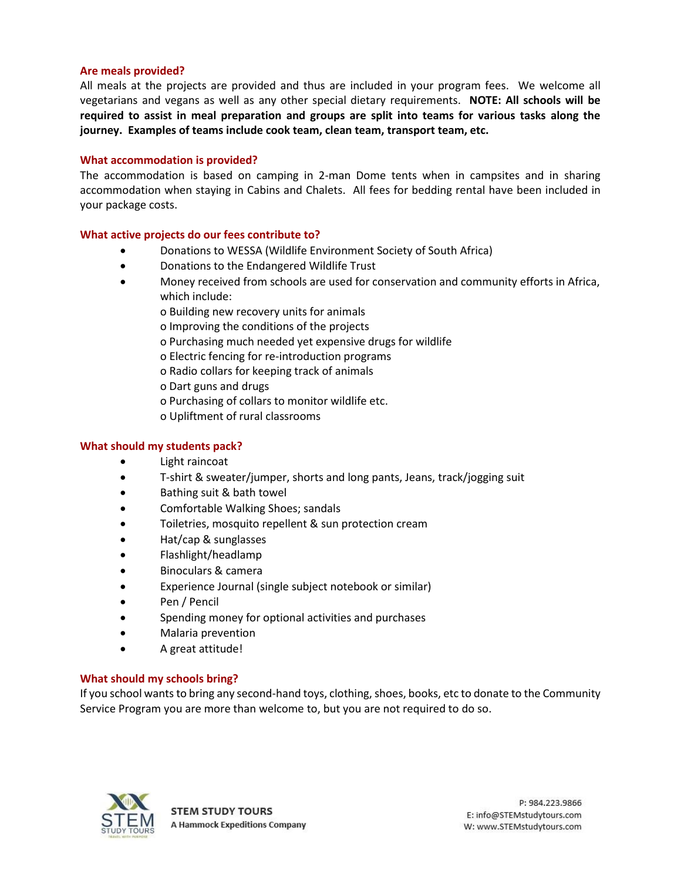#### **Are meals provided?**

All meals at the projects are provided and thus are included in your program fees. We welcome all vegetarians and vegans as well as any other special dietary requirements. **NOTE: All schools will be required to assist in meal preparation and groups are split into teams for various tasks along the journey. Examples of teams include cook team, clean team, transport team, etc.**

#### **What accommodation is provided?**

The accommodation is based on camping in 2-man Dome tents when in campsites and in sharing accommodation when staying in Cabins and Chalets. All fees for bedding rental have been included in your package costs.

#### **What active projects do our fees contribute to?**

- Donations to WESSA (Wildlife Environment Society of South Africa)
- Donations to the Endangered Wildlife Trust
- Money received from schools are used for conservation and community efforts in Africa, which include:
	- o Building new recovery units for animals
	- o Improving the conditions of the projects
	- o Purchasing much needed yet expensive drugs for wildlife
	- o Electric fencing for re-introduction programs
	- o Radio collars for keeping track of animals
	- o Dart guns and drugs
	- o Purchasing of collars to monitor wildlife etc.
	- o Upliftment of rural classrooms

#### **What should my students pack?**

- Light raincoat
- T-shirt & sweater/jumper, shorts and long pants, Jeans, track/jogging suit
- Bathing suit & bath towel
- Comfortable Walking Shoes; sandals
- Toiletries, mosquito repellent & sun protection cream
- Hat/cap & sunglasses
- Flashlight/headlamp
- Binoculars & camera
- Experience Journal (single subject notebook or similar)
- Pen / Pencil
- Spending money for optional activities and purchases
- Malaria prevention
- A great attitude!

#### **What should my schools bring?**

If you school wants to bring any second-hand toys, clothing, shoes, books, etc to donate to the Community Service Program you are more than welcome to, but you are not required to do so.

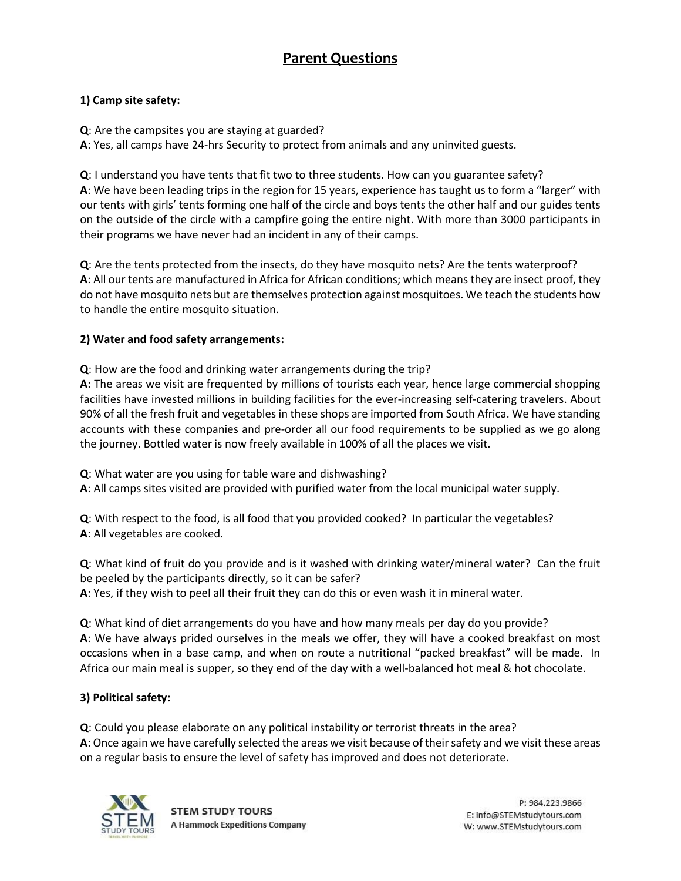# **Parent Questions**

# **1) Camp site safety:**

**Q**: Are the campsites you are staying at guarded?

**A**: Yes, all camps have 24-hrs Security to protect from animals and any uninvited guests.

**Q**: I understand you have tents that fit two to three students. How can you guarantee safety? **A**: We have been leading trips in the region for 15 years, experience has taught us to form a "larger" with our tents with girls' tents forming one half of the circle and boys tents the other half and our guides tents on the outside of the circle with a campfire going the entire night. With more than 3000 participants in their programs we have never had an incident in any of their camps.

**Q**: Are the tents protected from the insects, do they have mosquito nets? Are the tents waterproof? **A**: All our tents are manufactured in Africa for African conditions; which means they are insect proof, they do not have mosquito nets but are themselves protection against mosquitoes. We teach the students how to handle the entire mosquito situation.

## **2) Water and food safety arrangements:**

**Q**: How are the food and drinking water arrangements during the trip?

**A**: The areas we visit are frequented by millions of tourists each year, hence large commercial shopping facilities have invested millions in building facilities for the ever-increasing self-catering travelers. About 90% of all the fresh fruit and vegetables in these shops are imported from South Africa. We have standing accounts with these companies and pre-order all our food requirements to be supplied as we go along the journey. Bottled water is now freely available in 100% of all the places we visit.

**Q**: What water are you using for table ware and dishwashing?

**A**: All camps sites visited are provided with purified water from the local municipal water supply.

**Q**: With respect to the food, is all food that you provided cooked? In particular the vegetables? **A**: All vegetables are cooked.

**Q**: What kind of fruit do you provide and is it washed with drinking water/mineral water? Can the fruit be peeled by the participants directly, so it can be safer? **A**: Yes, if they wish to peel all their fruit they can do this or even wash it in mineral water.

**Q**: What kind of diet arrangements do you have and how many meals per day do you provide? **A**: We have always prided ourselves in the meals we offer, they will have a cooked breakfast on most occasions when in a base camp, and when on route a nutritional "packed breakfast" will be made. In Africa our main meal is supper, so they end of the day with a well-balanced hot meal & hot chocolate.

# **3) Political safety:**

**Q**: Could you please elaborate on any political instability or terrorist threats in the area? **A**: Once again we have carefully selected the areas we visit because of their safety and we visit these areas on a regular basis to ensure the level of safety has improved and does not deteriorate.



**STEM STUDY TOURS A Hammock Expeditions Company**